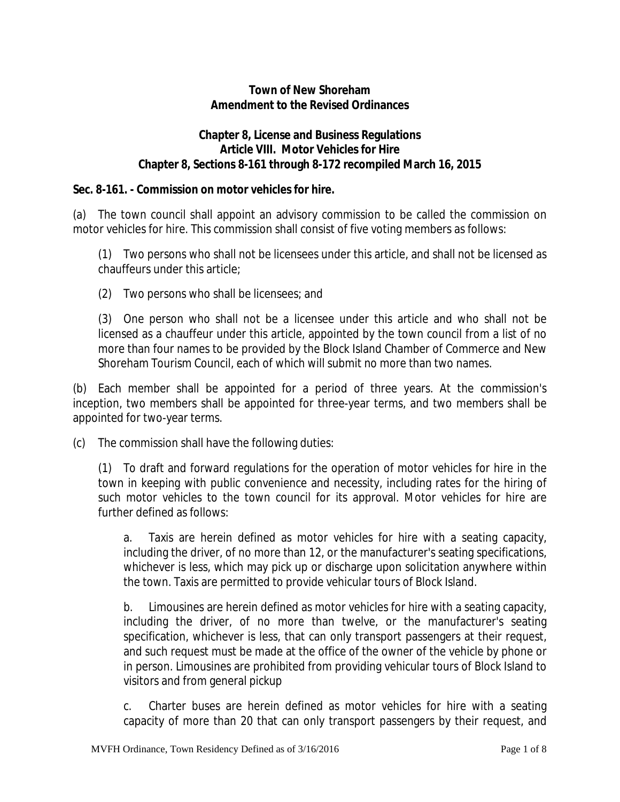### **Town of New Shoreham Amendment to the Revised Ordinances**

### **Chapter 8, License and Business Regulations Article VIII. Motor Vehicles for Hire Chapter 8, Sections 8-161 through 8-172 recompiled March 16, 2015**

#### **Sec. 8-161. - Commission on motor vehicles for hire.**

(a) The town council shall appoint an advisory commission to be called the commission on motor vehicles for hire. This commission shall consist of five voting members as follows:

(1) Two persons who shall not be licensees under this article, and shall not be licensed as chauffeurs under this article;

(2) Two persons who shall be licensees; and

(3) One person who shall not be a licensee under this article and who shall not be licensed as a chauffeur under this article, appointed by the town council from a list of no more than four names to be provided by the Block Island Chamber of Commerce and New Shoreham Tourism Council, each of which will submit no more than two names.

(b) Each member shall be appointed for a period of three years. At the commission's inception, two members shall be appointed for three-year terms, and two members shall be appointed for two-year terms.

(c) The commission shall have the following duties:

(1) To draft and forward regulations for the operation of motor vehicles for hire in the town in keeping with public convenience and necessity, including rates for the hiring of such motor vehicles to the town council for its approval. Motor vehicles for hire are further defined as follows:

a. Taxis are herein defined as motor vehicles for hire with a seating capacity, including the driver, of no more than 12, or the manufacturer's seating specifications, whichever is less, which may pick up or discharge upon solicitation anywhere within the town. Taxis are permitted to provide vehicular tours of Block Island.

b. Limousines are herein defined as motor vehicles for hire with a seating capacity, including the driver, of no more than twelve, or the manufacturer's seating specification, whichever is less, that can only transport passengers at their request, and such request must be made at the office of the owner of the vehicle by phone or in person. Limousines are prohibited from providing vehicular tours of Block Island to visitors and from general pickup

c. Charter buses are herein defined as motor vehicles for hire with a seating capacity of more than 20 that can only transport passengers by their request, and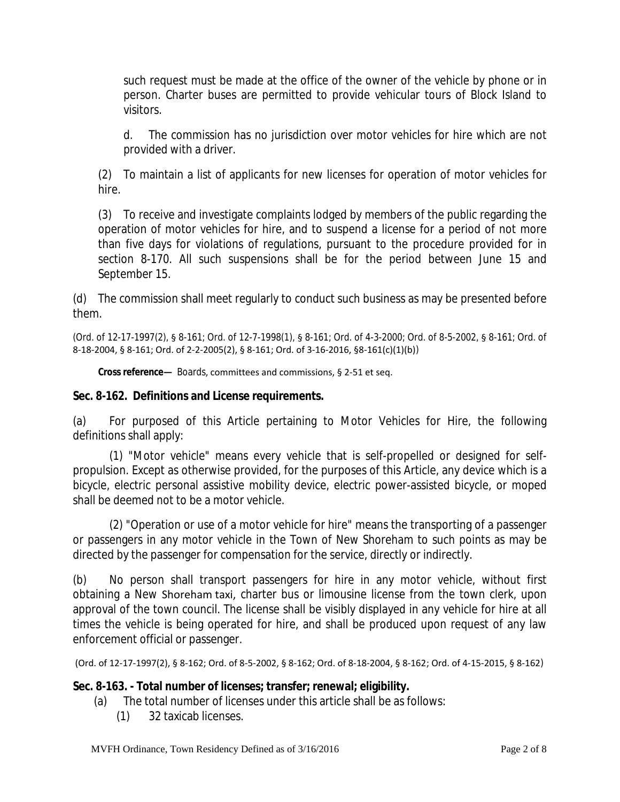such request must be made at the office of the owner of the vehicle by phone or in person. Charter buses are permitted to provide vehicular tours of Block Island to visitors.

d. The commission has no jurisdiction over motor vehicles for hire which are not provided with a driver.

(2) To maintain a list of applicants for new licenses for operation of motor vehicles for hire.

(3) To receive and investigate complaints lodged by members of the public regarding the operation of motor vehicles for hire, and to suspend a license for a period of not more than five days for violations of regulations, pursuant to the procedure provided for in section 8-170. All such suspensions shall be for the period between June 15 and September 15.

(d) The commission shall meet regularly to conduct such business as may be presented before them.

(Ord. of 12-17-1997(2), § 8-161; Ord. of 12-7-1998(1), § 8-161; Ord. of 4-3-2000; Ord. of 8-5-2002, § 8-161; Ord. of 8-18-2004, § 8-161; Ord. of 2-2-2005(2), § 8-161; Ord. of 3-16-2016, §8-161(c)(1)(b))

**Cross reference—** Boards, committees and commissions, § 2-51 et seq.

### **Sec. 8-162. Definitions and License requirements.**

(a) For purposed of this Article pertaining to Motor Vehicles for Hire, the following definitions shall apply:

(1) "Motor vehicle" means every vehicle that is self-propelled or designed for selfpropulsion. Except as otherwise provided, for the purposes of this Article, any device which is a bicycle, electric personal assistive mobility device, electric power-assisted bicycle, or moped shall be deemed not to be a motor vehicle.

(2) "Operation or use of a motor vehicle for hire" means the transporting of a passenger or passengers in any motor vehicle in the Town of New Shoreham to such points as may be directed by the passenger for compensation for the service, directly or indirectly.

(b) No person shall transport passengers for hire in any motor vehicle, without first obtaining a New Shoreham taxi, charter bus or limousine license from the town clerk, upon approval of the town council. The license shall be visibly displayed in any vehicle for hire at all times the vehicle is being operated for hire, and shall be produced upon request of any law enforcement official or passenger.

(Ord. of 12-17-1997(2), § 8-162; Ord. of 8-5-2002, § 8-162; Ord. of 8-18-2004, § 8-162; Ord. of 4-15-2015, § 8-162)

#### **Sec. 8-163. - Total number of licenses; transfer; renewal; eligibility.**

- (a) The total number of licenses under this article shall be as follows:
	- (1) 32 taxicab licenses.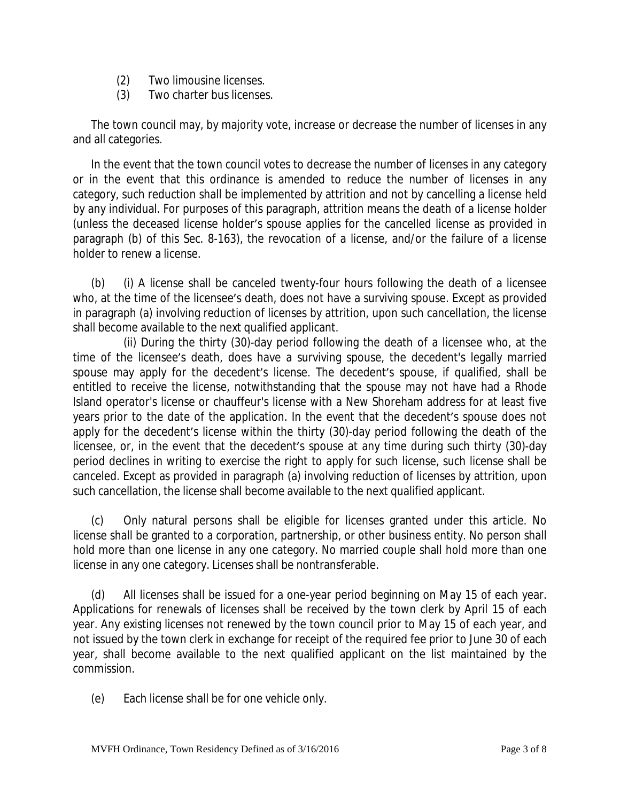- (2) Two limousine licenses.
- (3) Two charter bus licenses.

The town council may, by majority vote, increase or decrease the number of licenses in any and all categories.

In the event that the town council votes to decrease the number of licenses in any category or in the event that this ordinance is amended to reduce the number of licenses in any category, such reduction shall be implemented by attrition and not by cancelling a license held by any individual. For purposes of this paragraph, attrition means the death of a license holder (unless the deceased license holder's spouse applies for the cancelled license as provided in paragraph (b) of this Sec. 8-163), the revocation of a license, and/or the failure of a license holder to renew a license.

(b) (i) A license shall be canceled twenty-four hours following the death of a licensee who, at the time of the licensee's death, does not have a surviving spouse. Except as provided in paragraph (a) involving reduction of licenses by attrition, upon such cancellation, the license shall become available to the next qualified applicant.

(ii) During the thirty (30)-day period following the death of a licensee who, at the time of the licensee's death, does have a surviving spouse, the decedent's legally married spouse may apply for the decedent's license. The decedent's spouse, if qualified, shall be entitled to receive the license, notwithstanding that the spouse may not have had a Rhode Island operator's license or chauffeur's license with a New Shoreham address for at least five years prior to the date of the application. In the event that the decedent's spouse does not apply for the decedent's license within the thirty (30)-day period following the death of the licensee, or, in the event that the decedent's spouse at any time during such thirty (30)-day period declines in writing to exercise the right to apply for such license, such license shall be canceled. Except as provided in paragraph (a) involving reduction of licenses by attrition, upon such cancellation, the license shall become available to the next qualified applicant.

(c) Only natural persons shall be eligible for licenses granted under this article. No license shall be granted to a corporation, partnership, or other business entity. No person shall hold more than one license in any one category. No married couple shall hold more than one license in any one category. Licenses shall be nontransferable.

(d) All licenses shall be issued for a one-year period beginning on May 15 of each year. Applications for renewals of licenses shall be received by the town clerk by April 15 of each year. Any existing licenses not renewed by the town council prior to May 15 of each year, and not issued by the town clerk in exchange for receipt of the required fee prior to June 30 of each year, shall become available to the next qualified applicant on the list maintained by the commission.

(e) Each license shall be for one vehicle only.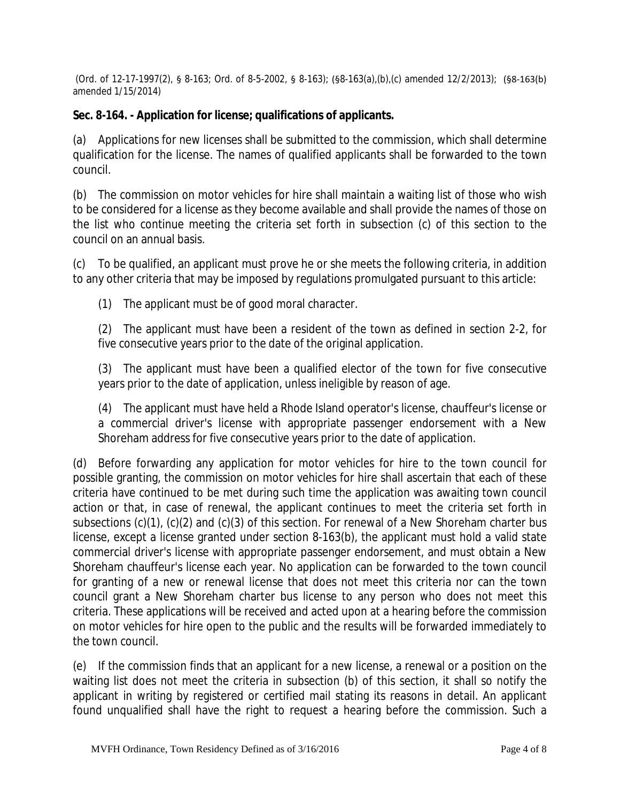(Ord. of 12-17-1997(2), § 8-163; Ord. of 8-5-2002, § 8-163); (§8-163(a),(b),(c) amended 12/2/2013); (§8-163(b) amended 1/15/2014)

### **Sec. 8-164. - Application for license; qualifications of applicants.**

(a) Applications for new licenses shall be submitted to the commission, which shall determine qualification for the license. The names of qualified applicants shall be forwarded to the town council.

(b) The commission on motor vehicles for hire shall maintain a waiting list of those who wish to be considered for a license as they become available and shall provide the names of those on the list who continue meeting the criteria set forth in subsection (c) of this section to the council on an annual basis.

(c) To be qualified, an applicant must prove he or she meets the following criteria, in addition to any other criteria that may be imposed by regulations promulgated pursuant to this article:

(1) The applicant must be of good moral character.

(2) The applicant must have been a resident of the town as defined in section 2-2, for five consecutive years prior to the date of the original application.

(3) The applicant must have been a qualified elector of the town for five consecutive years prior to the date of application, unless ineligible by reason of age.

(4) The applicant must have held a Rhode Island operator's license, chauffeur's license or a commercial driver's license with appropriate passenger endorsement with a New Shoreham address for five consecutive years prior to the date of application.

(d) Before forwarding any application for motor vehicles for hire to the town council for possible granting, the commission on motor vehicles for hire shall ascertain that each of these criteria have continued to be met during such time the application was awaiting town council action or that, in case of renewal, the applicant continues to meet the criteria set forth in subsections (c)(1), (c)(2) and (c)(3) of this section. For renewal of a New Shoreham charter bus license, except a license granted under section 8-163(b), the applicant must hold a valid state commercial driver's license with appropriate passenger endorsement, and must obtain a New Shoreham chauffeur's license each year. No application can be forwarded to the town council for granting of a new or renewal license that does not meet this criteria nor can the town council grant a New Shoreham charter bus license to any person who does not meet this criteria. These applications will be received and acted upon at a hearing before the commission on motor vehicles for hire open to the public and the results will be forwarded immediately to the town council.

(e) If the commission finds that an applicant for a new license, a renewal or a position on the waiting list does not meet the criteria in subsection (b) of this section, it shall so notify the applicant in writing by registered or certified mail stating its reasons in detail. An applicant found unqualified shall have the right to request a hearing before the commission. Such a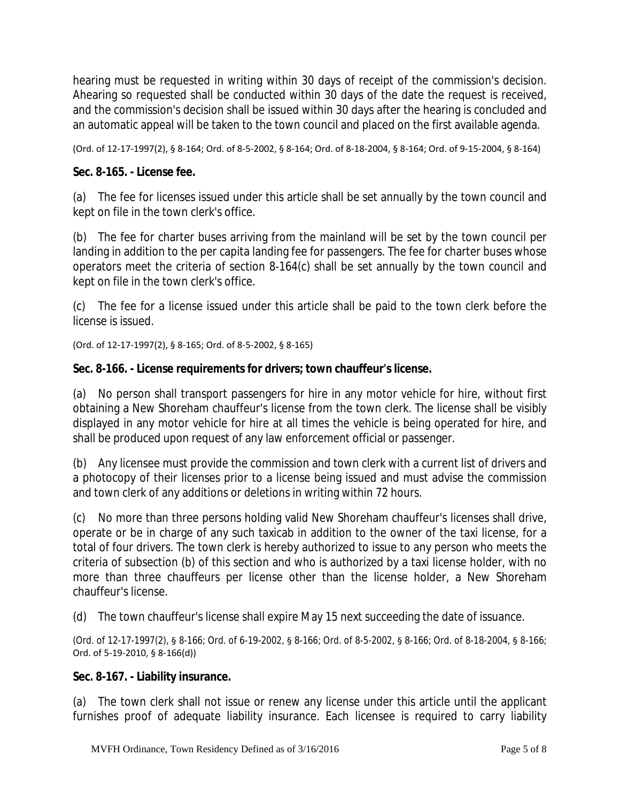hearing must be requested in writing within 30 days of receipt of the commission's decision. Ahearing so requested shall be conducted within 30 days of the date the request is received, and the commission's decision shall be issued within 30 days after the hearing is concluded and an automatic appeal will be taken to the town council and placed on the first available agenda.

(Ord. of 12-17-1997(2), § 8-164; Ord. of 8-5-2002, § 8-164; Ord. of 8-18-2004, § 8-164; Ord. of 9-15-2004, § 8-164)

# **Sec. 8-165. - License fee.**

(a) The fee for licenses issued under this article shall be set annually by the town council and kept on file in the town clerk's office.

(b) The fee for charter buses arriving from the mainland will be set by the town council per landing in addition to the per capita landing fee for passengers. The fee for charter buses whose operators meet the criteria of section 8-164(c) shall be set annually by the town council and kept on file in the town clerk's office.

(c) The fee for a license issued under this article shall be paid to the town clerk before the license is issued.

(Ord. of 12-17-1997(2), § 8-165; Ord. of 8-5-2002, § 8-165)

# **Sec. 8-166. - License requirements for drivers; town chauffeur's license.**

(a) No person shall transport passengers for hire in any motor vehicle for hire, without first obtaining a New Shoreham chauffeur's license from the town clerk. The license shall be visibly displayed in any motor vehicle for hire at all times the vehicle is being operated for hire, and shall be produced upon request of any law enforcement official or passenger.

(b) Any licensee must provide the commission and town clerk with a current list of drivers and a photocopy of their licenses prior to a license being issued and must advise the commission and town clerk of any additions or deletions in writing within 72 hours.

(c) No more than three persons holding valid New Shoreham chauffeur's licenses shall drive, operate or be in charge of any such taxicab in addition to the owner of the taxi license, for a total of four drivers. The town clerk is hereby authorized to issue to any person who meets the criteria of subsection (b) of this section and who is authorized by a taxi license holder, with no more than three chauffeurs per license other than the license holder, a New Shoreham chauffeur's license.

(d) The town chauffeur's license shall expire May 15 next succeeding the date of issuance.

(Ord. of 12-17-1997(2), § 8-166; Ord. of 6-19-2002, § 8-166; Ord. of 8-5-2002, § 8-166; Ord. of 8-18-2004, § 8-166; Ord. of 5-19-2010, § 8-166(d))

#### **Sec. 8-167. - Liability insurance.**

(a) The town clerk shall not issue or renew any license under this article until the applicant furnishes proof of adequate liability insurance. Each licensee is required to carry liability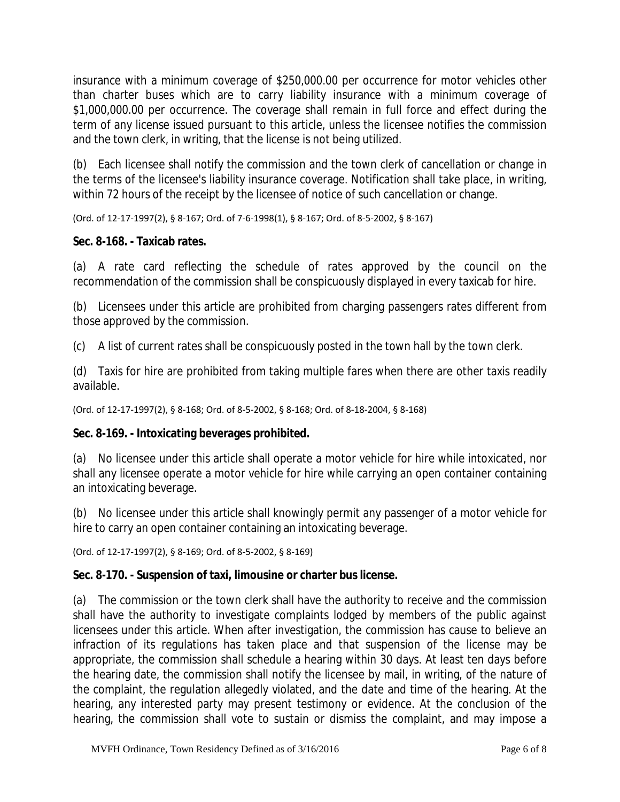insurance with a minimum coverage of \$250,000.00 per occurrence for motor vehicles other than charter buses which are to carry liability insurance with a minimum coverage of \$1,000,000.00 per occurrence. The coverage shall remain in full force and effect during the term of any license issued pursuant to this article, unless the licensee notifies the commission and the town clerk, in writing, that the license is not being utilized.

(b) Each licensee shall notify the commission and the town clerk of cancellation or change in the terms of the licensee's liability insurance coverage. Notification shall take place, in writing, within 72 hours of the receipt by the licensee of notice of such cancellation or change.

(Ord. of 12-17-1997(2), § 8-167; Ord. of 7-6-1998(1), § 8-167; Ord. of 8-5-2002, § 8-167)

# **Sec. 8-168. - Taxicab rates.**

(a) A rate card reflecting the schedule of rates approved by the council on the recommendation of the commission shall be conspicuously displayed in every taxicab for hire.

(b) Licensees under this article are prohibited from charging passengers rates different from those approved by the commission.

(c) A list of current rates shall be conspicuously posted in the town hall by the town clerk.

(d) Taxis for hire are prohibited from taking multiple fares when there are other taxis readily available.

(Ord. of 12-17-1997(2), § 8-168; Ord. of 8-5-2002, § 8-168; Ord. of 8-18-2004, § 8-168)

# **Sec. 8-169. - Intoxicating beverages prohibited.**

(a) No licensee under this article shall operate a motor vehicle for hire while intoxicated, nor shall any licensee operate a motor vehicle for hire while carrying an open container containing an intoxicating beverage.

(b) No licensee under this article shall knowingly permit any passenger of a motor vehicle for hire to carry an open container containing an intoxicating beverage.

(Ord. of 12-17-1997(2), § 8-169; Ord. of 8-5-2002, § 8-169)

# **Sec. 8-170. - Suspension of taxi, limousine or charter bus license.**

(a) The commission or the town clerk shall have the authority to receive and the commission shall have the authority to investigate complaints lodged by members of the public against licensees under this article. When after investigation, the commission has cause to believe an infraction of its regulations has taken place and that suspension of the license may be appropriate, the commission shall schedule a hearing within 30 days. At least ten days before the hearing date, the commission shall notify the licensee by mail, in writing, of the nature of the complaint, the regulation allegedly violated, and the date and time of the hearing. At the hearing, any interested party may present testimony or evidence. At the conclusion of the hearing, the commission shall vote to sustain or dismiss the complaint, and may impose a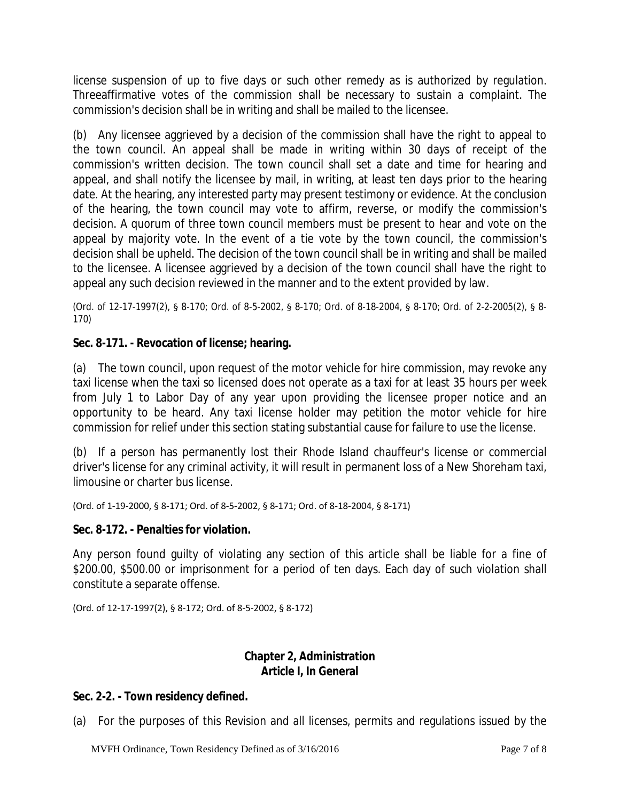license suspension of up to five days or such other remedy as is authorized by regulation. Threeaffirmative votes of the commission shall be necessary to sustain a complaint. The commission's decision shall be in writing and shall be mailed to the licensee.

(b) Any licensee aggrieved by a decision of the commission shall have the right to appeal to the town council. An appeal shall be made in writing within 30 days of receipt of the commission's written decision. The town council shall set a date and time for hearing and appeal, and shall notify the licensee by mail, in writing, at least ten days prior to the hearing date. At the hearing, any interested party may present testimony or evidence. At the conclusion of the hearing, the town council may vote to affirm, reverse, or modify the commission's decision. A quorum of three town council members must be present to hear and vote on the appeal by majority vote. In the event of a tie vote by the town council, the commission's decision shall be upheld. The decision of the town council shall be in writing and shall be mailed to the licensee. A licensee aggrieved by a decision of the town council shall have the right to appeal any such decision reviewed in the manner and to the extent provided by law.

(Ord. of 12-17-1997(2), § 8-170; Ord. of 8-5-2002, § 8-170; Ord. of 8-18-2004, § 8-170; Ord. of 2-2-2005(2), § 8- 170)

### **Sec. 8-171. - Revocation of license; hearing.**

(a) The town council, upon request of the motor vehicle for hire commission, may revoke any taxi license when the taxi so licensed does not operate as a taxi for at least 35 hours per week from July 1 to Labor Day of any year upon providing the licensee proper notice and an opportunity to be heard. Any taxi license holder may petition the motor vehicle for hire commission for relief under this section stating substantial cause for failure to use the license.

(b) If a person has permanently lost their Rhode Island chauffeur's license or commercial driver's license for any criminal activity, it will result in permanent loss of a New Shoreham taxi, limousine or charter bus license.

(Ord. of 1-19-2000, § 8-171; Ord. of 8-5-2002, § 8-171; Ord. of 8-18-2004, § 8-171)

#### **Sec. 8-172. - Penalties for violation.**

Any person found guilty of violating any section of this article shall be liable for a fine of \$200.00, \$500.00 or imprisonment for a period of ten days. Each day of such violation shall constitute a separate offense.

(Ord. of 12-17-1997(2), § 8-172; Ord. of 8-5-2002, § 8-172)

### **Chapter 2, Administration Article I, In General**

# **Sec. 2-2. - Town residency defined.**

(a) For the purposes of this Revision and all licenses, permits and regulations issued by the